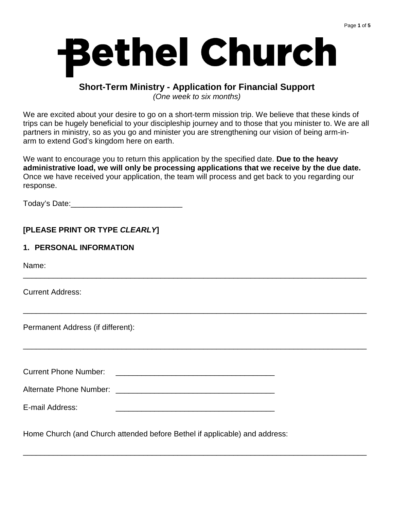# **Bethel Church**

# **Short-Term Ministry - Application for Financial Support**

(One week to six months)

We are excited about your desire to go on a short-term mission trip. We believe that these kinds of trips can be hugely beneficial to your discipleship journey and to those that you minister to. We are all partners in ministry, so as you go and minister you are strengthening our vision of being arm-inarm to extend God's kingdom here on earth.

We want to encourage you to return this application by the specified date. **Due to the heavy administrative load, we will only be processing applications that we receive by the due date.** Once we have received your application, the team will process and get back to you regarding our response.

\_\_\_\_\_\_\_\_\_\_\_\_\_\_\_\_\_\_\_\_\_\_\_\_\_\_\_\_\_\_\_\_\_\_\_\_\_\_\_\_\_\_\_\_\_\_\_\_\_\_\_\_\_\_\_\_\_\_\_\_\_\_\_\_\_\_\_\_\_\_\_\_\_\_\_\_\_\_\_\_

\_\_\_\_\_\_\_\_\_\_\_\_\_\_\_\_\_\_\_\_\_\_\_\_\_\_\_\_\_\_\_\_\_\_\_\_\_\_\_\_\_\_\_\_\_\_\_\_\_\_\_\_\_\_\_\_\_\_\_\_\_\_\_\_\_\_\_\_\_\_\_\_\_\_\_\_\_\_\_\_

\_\_\_\_\_\_\_\_\_\_\_\_\_\_\_\_\_\_\_\_\_\_\_\_\_\_\_\_\_\_\_\_\_\_\_\_\_\_\_\_\_\_\_\_\_\_\_\_\_\_\_\_\_\_\_\_\_\_\_\_\_\_\_\_\_\_\_\_\_\_\_\_\_\_\_\_\_\_\_\_

\_\_\_\_\_\_\_\_\_\_\_\_\_\_\_\_\_\_\_\_\_\_\_\_\_\_\_\_\_\_\_\_\_\_\_\_\_\_\_\_\_\_\_\_\_\_\_\_\_\_\_\_\_\_\_\_\_\_\_\_\_\_\_\_\_\_\_\_\_\_\_\_\_\_\_\_\_\_\_\_

Today's Date:\_\_\_\_\_\_\_\_\_\_\_\_\_\_\_\_\_\_\_\_\_\_\_\_\_\_

## **[PLEASE PRINT OR TYPE CLEARLY]**

## **1. PERSONAL INFORMATION**

Name:

Current Address:

Permanent Address (if different):

Current Phone Number:

Alternate Phone Number: **Alternate** Phone  $\theta$ 

E-mail Address:

Home Church (and Church attended before Bethel if applicable) and address: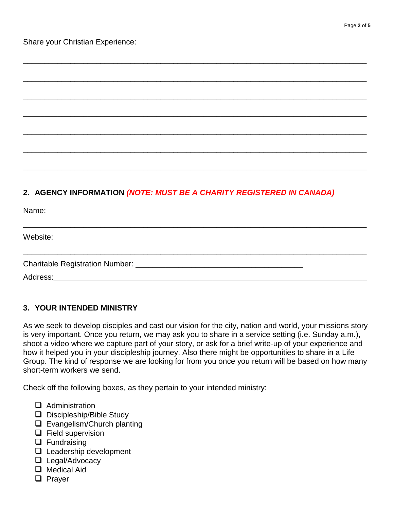Share your Christian Experience:

# **2. AGENCY INFORMATION (NOTE: MUST BE A CHARITY REGISTERED IN CANADA)**

\_\_\_\_\_\_\_\_\_\_\_\_\_\_\_\_\_\_\_\_\_\_\_\_\_\_\_\_\_\_\_\_\_\_\_\_\_\_\_\_\_\_\_\_\_\_\_\_\_\_\_\_\_\_\_\_\_\_\_\_\_\_\_\_\_\_\_\_\_\_\_\_\_\_\_\_\_\_\_\_

\_\_\_\_\_\_\_\_\_\_\_\_\_\_\_\_\_\_\_\_\_\_\_\_\_\_\_\_\_\_\_\_\_\_\_\_\_\_\_\_\_\_\_\_\_\_\_\_\_\_\_\_\_\_\_\_\_\_\_\_\_\_\_\_\_\_\_\_\_\_\_\_\_\_\_\_\_\_\_\_

\_\_\_\_\_\_\_\_\_\_\_\_\_\_\_\_\_\_\_\_\_\_\_\_\_\_\_\_\_\_\_\_\_\_\_\_\_\_\_\_\_\_\_\_\_\_\_\_\_\_\_\_\_\_\_\_\_\_\_\_\_\_\_\_\_\_\_\_\_\_\_\_\_\_\_\_\_\_\_\_

\_\_\_\_\_\_\_\_\_\_\_\_\_\_\_\_\_\_\_\_\_\_\_\_\_\_\_\_\_\_\_\_\_\_\_\_\_\_\_\_\_\_\_\_\_\_\_\_\_\_\_\_\_\_\_\_\_\_\_\_\_\_\_\_\_\_\_\_\_\_\_\_\_\_\_\_\_\_\_\_

\_\_\_\_\_\_\_\_\_\_\_\_\_\_\_\_\_\_\_\_\_\_\_\_\_\_\_\_\_\_\_\_\_\_\_\_\_\_\_\_\_\_\_\_\_\_\_\_\_\_\_\_\_\_\_\_\_\_\_\_\_\_\_\_\_\_\_\_\_\_\_\_\_\_\_\_\_\_\_\_

\_\_\_\_\_\_\_\_\_\_\_\_\_\_\_\_\_\_\_\_\_\_\_\_\_\_\_\_\_\_\_\_\_\_\_\_\_\_\_\_\_\_\_\_\_\_\_\_\_\_\_\_\_\_\_\_\_\_\_\_\_\_\_\_\_\_\_\_\_\_\_\_\_\_\_\_\_\_\_\_

\_\_\_\_\_\_\_\_\_\_\_\_\_\_\_\_\_\_\_\_\_\_\_\_\_\_\_\_\_\_\_\_\_\_\_\_\_\_\_\_\_\_\_\_\_\_\_\_\_\_\_\_\_\_\_\_\_\_\_\_\_\_\_\_\_\_\_\_\_\_\_\_\_\_\_\_\_\_\_\_

\_\_\_\_\_\_\_\_\_\_\_\_\_\_\_\_\_\_\_\_\_\_\_\_\_\_\_\_\_\_\_\_\_\_\_\_\_\_\_\_\_\_\_\_\_\_\_\_\_\_\_\_\_\_\_\_\_\_\_\_\_\_\_\_\_\_\_\_\_\_\_\_\_\_\_\_\_\_\_\_

\_\_\_\_\_\_\_\_\_\_\_\_\_\_\_\_\_\_\_\_\_\_\_\_\_\_\_\_\_\_\_\_\_\_\_\_\_\_\_\_\_\_\_\_\_\_\_\_\_\_\_\_\_\_\_\_\_\_\_\_\_\_\_\_\_\_\_\_\_\_\_\_\_\_\_\_\_\_\_\_

Name:

Website:

Charitable Registration Number: \_\_\_\_\_\_\_\_\_\_\_\_\_\_\_\_\_\_\_\_\_\_\_\_\_\_\_\_\_\_\_\_\_\_\_\_\_\_\_

Address:\_\_\_\_\_\_\_\_\_\_\_\_\_\_\_\_\_\_\_\_\_\_\_\_\_\_\_\_\_\_\_\_\_\_\_\_\_\_\_\_\_\_\_\_\_\_\_\_\_\_\_\_\_\_\_\_\_\_\_\_\_\_\_\_\_\_\_\_\_\_\_\_\_

### **3. YOUR INTENDED MINISTRY**

As we seek to develop disciples and cast our vision for the city, nation and world, your missions story is very important. Once you return, we may ask you to share in a service setting (i.e. Sunday a.m.), shoot a video where we capture part of your story, or ask for a brief write-up of your experience and how it helped you in your discipleship journey. Also there might be opportunities to share in a Life Group. The kind of response we are looking for from you once you return will be based on how many short-term workers we send.

Check off the following boxes, as they pertain to your intended ministry:

- $\Box$  Administration
- $\Box$  Discipleship/Bible Study
- □ Evangelism/Church planting
- $\Box$  Field supervision
- $\Box$  Fundraising
- $\Box$  Leadership development
- **Legal/Advocacy**
- **Q** Medical Aid
- **D** Prayer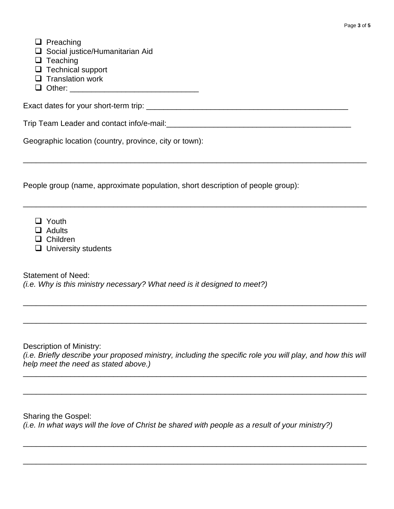- $\Box$  Preaching
- $\square$  Social justice/Humanitarian Aid
- $\Box$  Teaching
- $\Box$  Technical support
- $\Box$  Translation work
- $\Box$  Other:

Exact dates for your short-term trip: \_\_\_\_\_\_\_\_\_\_\_\_\_\_\_\_\_\_\_\_\_\_\_\_\_\_\_\_\_\_\_\_\_\_\_\_\_\_\_\_\_\_\_\_\_\_\_

Trip Team Leader and contact info/e-mail:\_\_\_\_\_\_\_\_\_\_\_\_\_\_\_\_\_\_\_\_\_\_\_\_\_\_\_\_\_\_\_\_\_\_\_\_\_\_\_\_\_\_\_

Geographic location (country, province, city or town):

People group (name, approximate population, short description of people group):

\_\_\_\_\_\_\_\_\_\_\_\_\_\_\_\_\_\_\_\_\_\_\_\_\_\_\_\_\_\_\_\_\_\_\_\_\_\_\_\_\_\_\_\_\_\_\_\_\_\_\_\_\_\_\_\_\_\_\_\_\_\_\_\_\_\_\_\_\_\_\_\_\_\_\_\_\_\_\_\_

\_\_\_\_\_\_\_\_\_\_\_\_\_\_\_\_\_\_\_\_\_\_\_\_\_\_\_\_\_\_\_\_\_\_\_\_\_\_\_\_\_\_\_\_\_\_\_\_\_\_\_\_\_\_\_\_\_\_\_\_\_\_\_\_\_\_\_\_\_\_\_\_\_\_\_\_\_\_\_\_

- **D** Youth
- **Q** Adults
- □ Children
- $\Box$  University students

Statement of Need: (i.e. Why is this ministry necessary? What need is it designed to meet?)

Description of Ministry:

(i.e. Briefly describe your proposed ministry, including the specific role you will play, and how this will help meet the need as stated above.)

\_\_\_\_\_\_\_\_\_\_\_\_\_\_\_\_\_\_\_\_\_\_\_\_\_\_\_\_\_\_\_\_\_\_\_\_\_\_\_\_\_\_\_\_\_\_\_\_\_\_\_\_\_\_\_\_\_\_\_\_\_\_\_\_\_\_\_\_\_\_\_\_\_\_\_\_\_\_\_\_

\_\_\_\_\_\_\_\_\_\_\_\_\_\_\_\_\_\_\_\_\_\_\_\_\_\_\_\_\_\_\_\_\_\_\_\_\_\_\_\_\_\_\_\_\_\_\_\_\_\_\_\_\_\_\_\_\_\_\_\_\_\_\_\_\_\_\_\_\_\_\_\_\_\_\_\_\_\_\_\_

\_\_\_\_\_\_\_\_\_\_\_\_\_\_\_\_\_\_\_\_\_\_\_\_\_\_\_\_\_\_\_\_\_\_\_\_\_\_\_\_\_\_\_\_\_\_\_\_\_\_\_\_\_\_\_\_\_\_\_\_\_\_\_\_\_\_\_\_\_\_\_\_\_\_\_\_\_\_\_\_

\_\_\_\_\_\_\_\_\_\_\_\_\_\_\_\_\_\_\_\_\_\_\_\_\_\_\_\_\_\_\_\_\_\_\_\_\_\_\_\_\_\_\_\_\_\_\_\_\_\_\_\_\_\_\_\_\_\_\_\_\_\_\_\_\_\_\_\_\_\_\_\_\_\_\_\_\_\_\_\_

\_\_\_\_\_\_\_\_\_\_\_\_\_\_\_\_\_\_\_\_\_\_\_\_\_\_\_\_\_\_\_\_\_\_\_\_\_\_\_\_\_\_\_\_\_\_\_\_\_\_\_\_\_\_\_\_\_\_\_\_\_\_\_\_\_\_\_\_\_\_\_\_\_\_\_\_\_\_\_\_

\_\_\_\_\_\_\_\_\_\_\_\_\_\_\_\_\_\_\_\_\_\_\_\_\_\_\_\_\_\_\_\_\_\_\_\_\_\_\_\_\_\_\_\_\_\_\_\_\_\_\_\_\_\_\_\_\_\_\_\_\_\_\_\_\_\_\_\_\_\_\_\_\_\_\_\_\_\_\_\_

Sharing the Gospel: (i.e. In what ways will the love of Christ be shared with people as a result of your ministry?)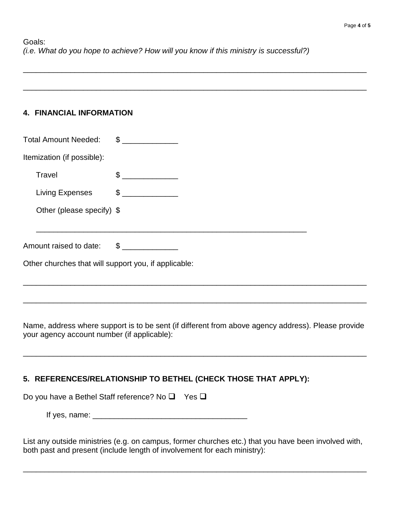\_\_\_\_\_\_\_\_\_\_\_\_\_\_\_\_\_\_\_\_\_\_\_\_\_\_\_\_\_\_\_\_\_\_\_\_\_\_\_\_\_\_\_\_\_\_\_\_\_\_\_\_\_\_\_\_\_\_\_\_\_\_\_\_\_\_\_\_\_\_\_\_\_\_\_\_\_\_\_\_

\_\_\_\_\_\_\_\_\_\_\_\_\_\_\_\_\_\_\_\_\_\_\_\_\_\_\_\_\_\_\_\_\_\_\_\_\_\_\_\_\_\_\_\_\_\_\_\_\_\_\_\_\_\_\_\_\_\_\_\_\_\_\_\_\_\_\_\_\_\_\_\_\_\_\_\_\_\_\_\_

## **4. FINANCIAL INFORMATION**

| <b>Total Amount Needed:</b>                          | $\frac{1}{2}$  |  |  |
|------------------------------------------------------|----------------|--|--|
| Itemization (if possible):                           |                |  |  |
| Travel                                               | $\frac{1}{2}$  |  |  |
| Living Expenses                                      | $\frac{1}{2}$  |  |  |
| Other (please specify) \$                            |                |  |  |
|                                                      |                |  |  |
| Amount raised to date:                               | $\mathfrak{S}$ |  |  |
| Other churches that will support you, if applicable: |                |  |  |

Name, address where support is to be sent (if different from above agency address). Please provide your agency account number (if applicable):

\_\_\_\_\_\_\_\_\_\_\_\_\_\_\_\_\_\_\_\_\_\_\_\_\_\_\_\_\_\_\_\_\_\_\_\_\_\_\_\_\_\_\_\_\_\_\_\_\_\_\_\_\_\_\_\_\_\_\_\_\_\_\_\_\_\_\_\_\_\_\_\_\_\_\_\_\_\_\_\_

\_\_\_\_\_\_\_\_\_\_\_\_\_\_\_\_\_\_\_\_\_\_\_\_\_\_\_\_\_\_\_\_\_\_\_\_\_\_\_\_\_\_\_\_\_\_\_\_\_\_\_\_\_\_\_\_\_\_\_\_\_\_\_\_\_\_\_\_\_\_\_\_\_\_\_\_\_\_\_\_

\_\_\_\_\_\_\_\_\_\_\_\_\_\_\_\_\_\_\_\_\_\_\_\_\_\_\_\_\_\_\_\_\_\_\_\_\_\_\_\_\_\_\_\_\_\_\_\_\_\_\_\_\_\_\_\_\_\_\_\_\_\_\_\_\_\_\_\_\_\_\_\_\_\_\_\_\_\_\_\_

# **5. REFERENCES/RELATIONSHIP TO BETHEL (CHECK THOSE THAT APPLY):**

| Do you have a Bethel Staff reference? No $\square$ Yes $\square$ |  |
|------------------------------------------------------------------|--|
|------------------------------------------------------------------|--|

If yes, name: \_\_\_\_\_\_\_\_\_\_\_\_\_\_\_\_\_\_\_\_\_\_\_\_\_\_\_\_\_\_\_\_\_\_\_\_

List any outside ministries (e.g. on campus, former churches etc.) that you have been involved with, both past and present (include length of involvement for each ministry):

\_\_\_\_\_\_\_\_\_\_\_\_\_\_\_\_\_\_\_\_\_\_\_\_\_\_\_\_\_\_\_\_\_\_\_\_\_\_\_\_\_\_\_\_\_\_\_\_\_\_\_\_\_\_\_\_\_\_\_\_\_\_\_\_\_\_\_\_\_\_\_\_\_\_\_\_\_\_\_\_